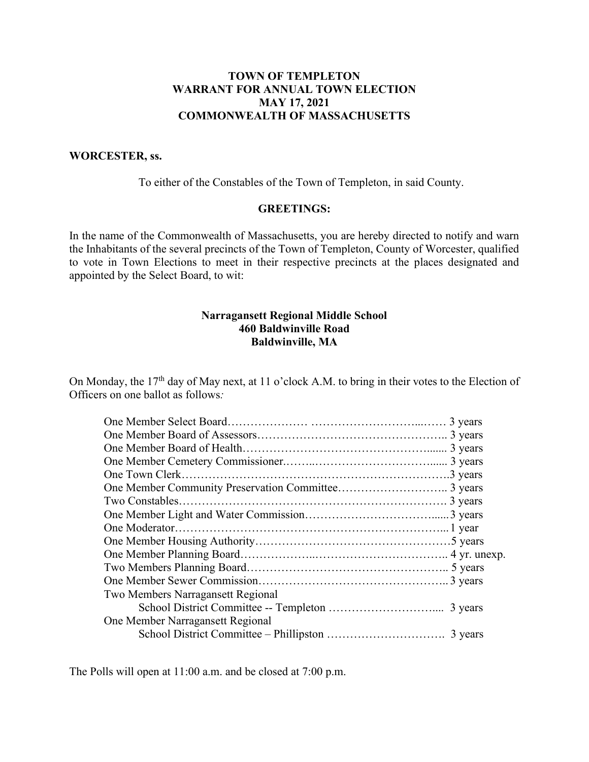## **TOWN OF TEMPLETON WARRANT FOR ANNUAL TOWN ELECTION MAY 17, 2021 COMMONWEALTH OF MASSACHUSETTS**

#### **WORCESTER, ss.**

To either of the Constables of the Town of Templeton, in said County.

#### **GREETINGS:**

In the name of the Commonwealth of Massachusetts, you are hereby directed to notify and warn the Inhabitants of the several precincts of the Town of Templeton, County of Worcester, qualified to vote in Town Elections to meet in their respective precincts at the places designated and appointed by the Select Board, to wit:

#### **Narragansett Regional Middle School 460 Baldwinville Road Baldwinville, MA**

On Monday, the 17<sup>th</sup> day of May next, at 11 o'clock A.M. to bring in their votes to the Election of Officers on one ballot as follows*:*

| Two Members Narragansett Regional |  |
|-----------------------------------|--|
|                                   |  |
| One Member Narragansett Regional  |  |
|                                   |  |

The Polls will open at 11:00 a.m. and be closed at 7:00 p.m.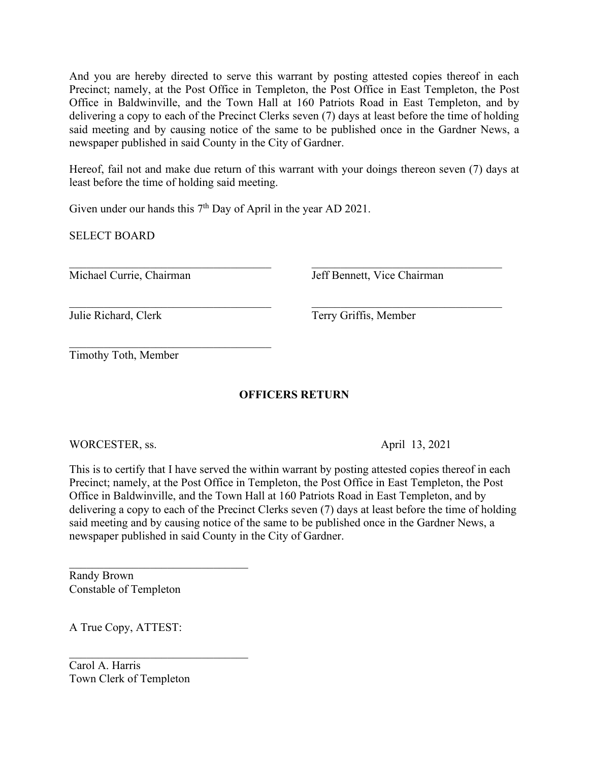And you are hereby directed to serve this warrant by posting attested copies thereof in each Precinct; namely, at the Post Office in Templeton, the Post Office in East Templeton, the Post Office in Baldwinville, and the Town Hall at 160 Patriots Road in East Templeton, and by delivering a copy to each of the Precinct Clerks seven (7) days at least before the time of holding said meeting and by causing notice of the same to be published once in the Gardner News, a newspaper published in said County in the City of Gardner.

Hereof, fail not and make due return of this warrant with your doings thereon seven (7) days at least before the time of holding said meeting.

Given under our hands this  $7<sup>th</sup>$  Day of April in the year AD 2021.

SELECT BOARD

Michael Currie, Chairman Jeff Bennett, Vice Chairman

Julie Richard, Clerk Terry Griffis, Member

Timothy Toth, Member

# **OFFICERS RETURN**

WORCESTER, ss. April 13, 2021

This is to certify that I have served the within warrant by posting attested copies thereof in each Precinct; namely, at the Post Office in Templeton, the Post Office in East Templeton, the Post Office in Baldwinville, and the Town Hall at 160 Patriots Road in East Templeton, and by delivering a copy to each of the Precinct Clerks seven (7) days at least before the time of holding said meeting and by causing notice of the same to be published once in the Gardner News, a newspaper published in said County in the City of Gardner.

Randy Brown Constable of Templeton

A True Copy, ATTEST:

Carol A. Harris Town Clerk of Templeton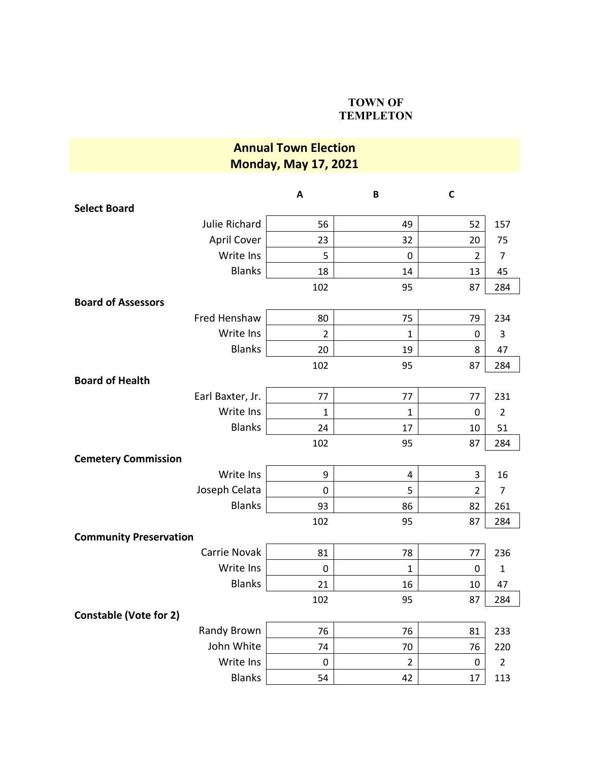### **TOWN OF TEMPLETON**

# **Annual Town Election Monday, May 17, 2021**

|                               | $\boldsymbol{\mathsf{A}}$ | B              | $\mathsf{C}$   |                |
|-------------------------------|---------------------------|----------------|----------------|----------------|
| <b>Select Board</b>           |                           |                |                |                |
| Julie Richard                 | 56                        | 49             | 52             | 157            |
| <b>April Cover</b>            | 23                        | 32             | 20             | 75             |
| Write Ins                     | 5                         | $\mathbf 0$    | $\overline{2}$ | $\overline{7}$ |
| <b>Blanks</b>                 | 18                        | 14             | 13             | 45             |
|                               | 102                       | 95             | 87             | 284            |
| <b>Board of Assessors</b>     |                           |                |                |                |
| Fred Henshaw                  | 80                        | 75             | 79             | 234            |
| Write Ins                     | $\overline{2}$            | 1              | 0              | 3              |
| <b>Blanks</b>                 | 20                        | 19             | 8              | 47             |
|                               | 102                       | 95             | 87             | 284            |
| <b>Board of Health</b>        |                           |                |                |                |
| Earl Baxter, Jr.              | 77                        | 77             | 77             | 231            |
| Write Ins                     | $\mathbf{1}$              | $\mathbf{1}$   | $\mathbf 0$    | $\overline{2}$ |
| <b>Blanks</b>                 | 24                        | 17             | 10             | 51             |
|                               | 102                       | 95             | 87             | 284            |
| <b>Cemetery Commission</b>    |                           |                |                |                |
| Write Ins                     | 9                         | 4              | 3              | 16             |
| Joseph Celata                 | $\pmb{0}$                 | 5              | $\overline{2}$ | $\overline{7}$ |
| <b>Blanks</b>                 | 93                        | 86             | 82             | 261            |
|                               | 102                       | 95             | 87             | 284            |
| <b>Community Preservation</b> |                           |                |                |                |
| Carrie Novak                  | 81                        | 78             | 77             | 236            |
| Write Ins                     | $\mathbf 0$               | $\mathbf 1$    | 0              | $\mathbf{1}$   |
| <b>Blanks</b>                 | 21                        | 16             | 10             | 47             |
|                               | 102                       | 95             | 87             | 284            |
| <b>Constable (Vote for 2)</b> |                           |                |                |                |
| Randy Brown                   | 76                        | 76             | 81             | 233            |
| John White                    | 74                        | 70             | 76             | 220            |
| Write Ins                     | $\mathbf 0$               | $\overline{2}$ | 0              | $\overline{2}$ |
| <b>Blanks</b>                 | 54                        | 42             | 17             | 113            |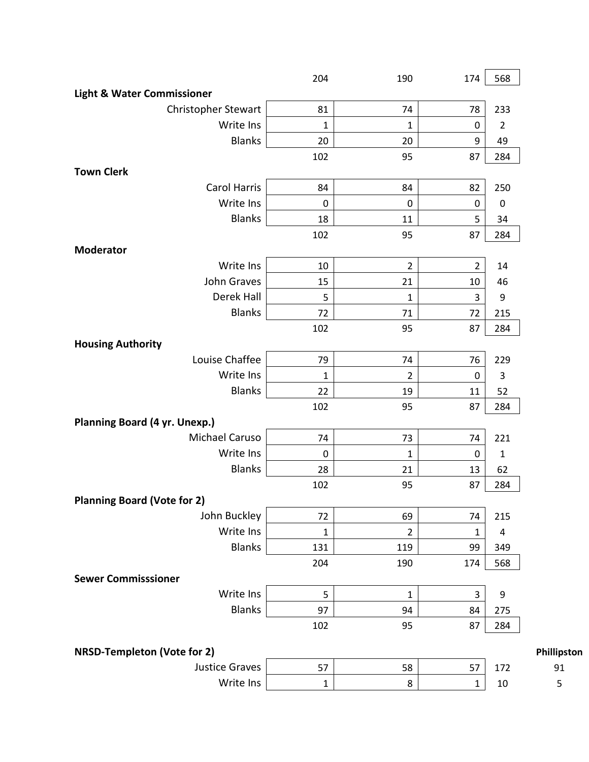|                                            | 204          | 190            | 174            | 568              |    |
|--------------------------------------------|--------------|----------------|----------------|------------------|----|
| <b>Light &amp; Water Commissioner</b>      |              |                |                |                  |    |
| Christopher Stewart                        | 81           | 74             | 78             | 233              |    |
| Write Ins                                  | 1            | $\mathbf{1}$   | 0              | $\overline{2}$   |    |
| <b>Blanks</b>                              | 20           | 20             | 9              | 49               |    |
|                                            | 102          | 95             | 87             | 284              |    |
| <b>Town Clerk</b>                          |              |                |                |                  |    |
| <b>Carol Harris</b>                        | 84           | 84             | 82             | 250              |    |
| Write Ins                                  | $\pmb{0}$    | $\pmb{0}$      | $\pmb{0}$      | $\pmb{0}$        |    |
| <b>Blanks</b>                              | 18           | 11             | 5              | 34               |    |
|                                            | 102          | 95             | 87             | 284              |    |
| <b>Moderator</b>                           |              |                |                |                  |    |
| Write Ins                                  | 10           | $\overline{2}$ | $\overline{2}$ | 14               |    |
| John Graves                                | 15           | 21             | 10             | 46               |    |
| Derek Hall                                 | 5            | $\mathbf{1}$   | 3              | $\boldsymbol{9}$ |    |
| <b>Blanks</b>                              | 72           | 71             | 72             | 215              |    |
|                                            | 102          | 95             | 87             | 284              |    |
| <b>Housing Authority</b>                   |              |                |                |                  |    |
| Louise Chaffee                             | 79           | 74             | 76             | 229              |    |
| Write Ins                                  | $\mathbf{1}$ | $\overline{2}$ | 0              | 3                |    |
| <b>Blanks</b>                              | 22           | 19             | 11             | 52               |    |
|                                            | 102          | 95             | 87             | 284              |    |
| <b>Planning Board (4 yr. Unexp.)</b>       |              |                |                |                  |    |
| Michael Caruso                             | 74           | 73             | 74             | 221              |    |
| Write Ins                                  | $\mathbf 0$  | $\mathbf{1}$   | $\pmb{0}$      | $\mathbf 1$      |    |
| <b>Blanks</b>                              | 28           | 21             | 13             | 62               |    |
|                                            | 102          | 95             | 87             | 284              |    |
| <b>Planning Board (Vote for 2)</b>         |              |                |                |                  |    |
| John Buckley                               | 72           | 69             | 74             | 215              |    |
| Write Ins                                  | $\mathbf{1}$ | $\overline{2}$ | $\mathbf{1}$   | 4                |    |
| <b>Blanks</b>                              | 131          | 119            | 99             | 349              |    |
|                                            | 204          | 190            | 174            | 568              |    |
| <b>Sewer Commisssioner</b>                 |              |                |                |                  |    |
| Write Ins                                  | 5            | $\mathbf{1}$   | 3              | 9                |    |
| <b>Blanks</b>                              | 97           | 94             | 84             | 275              |    |
|                                            | 102          | 95             | 87             | 284              |    |
| NRSD-Templeton (Vote for 2)<br>Phillipston |              |                |                |                  |    |
| <b>Justice Graves</b>                      | 57           | 58             | 57             | 172              | 91 |
| Write Ins                                  | $\mathbf 1$  | 8              | $\mathbf{1}$   | $10\,$           | 5  |